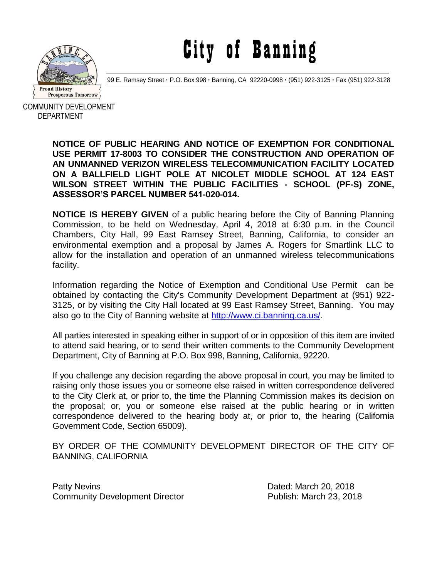

City of Banning

99 E. Ramsey Street **·** P.O. Box 998 **·** Banning, CA 92220-0998 **·** (951) 922-3125 **·** Fax (951) 922-3128

COMMUNITY DEVELOPMENT DEPARTMENT

> **NOTICE OF PUBLIC HEARING AND NOTICE OF EXEMPTION FOR CONDITIONAL USE PERMIT 17-8003 TO CONSIDER THE CONSTRUCTION AND OPERATION OF AN UNMANNED VERIZON WIRELESS TELECOMMUNICATION FACILITY LOCATED ON A BALLFIELD LIGHT POLE AT NICOLET MIDDLE SCHOOL AT 124 EAST WILSON STREET WITHIN THE PUBLIC FACILITIES - SCHOOL (PF-S) ZONE, ASSESSOR'S PARCEL NUMBER 541-020-014.**

> **NOTICE IS HEREBY GIVEN** of a public hearing before the City of Banning Planning Commission, to be held on Wednesday, April 4, 2018 at 6:30 p.m. in the Council Chambers, City Hall, 99 East Ramsey Street, Banning, California, to consider an environmental exemption and a proposal by James A. Rogers for Smartlink LLC to allow for the installation and operation of an unmanned wireless telecommunications facility.

> Information regarding the Notice of Exemption and Conditional Use Permit can be obtained by contacting the City's Community Development Department at (951) 922- 3125, or by visiting the City Hall located at 99 East Ramsey Street, Banning. You may also go to the City of Banning website at [http://www.ci.banning.ca.us/.](http://www.ci.banning.ca.us/)

> All parties interested in speaking either in support of or in opposition of this item are invited to attend said hearing, or to send their written comments to the Community Development Department, City of Banning at P.O. Box 998, Banning, California, 92220.

> If you challenge any decision regarding the above proposal in court, you may be limited to raising only those issues you or someone else raised in written correspondence delivered to the City Clerk at, or prior to, the time the Planning Commission makes its decision on the proposal; or, you or someone else raised at the public hearing or in written correspondence delivered to the hearing body at, or prior to, the hearing (California Government Code, Section 65009).

> BY ORDER OF THE COMMUNITY DEVELOPMENT DIRECTOR OF THE CITY OF BANNING, CALIFORNIA

Patty Nevins **Dated: March 20, 2018** Community Development Director Publish: March 23, 2018